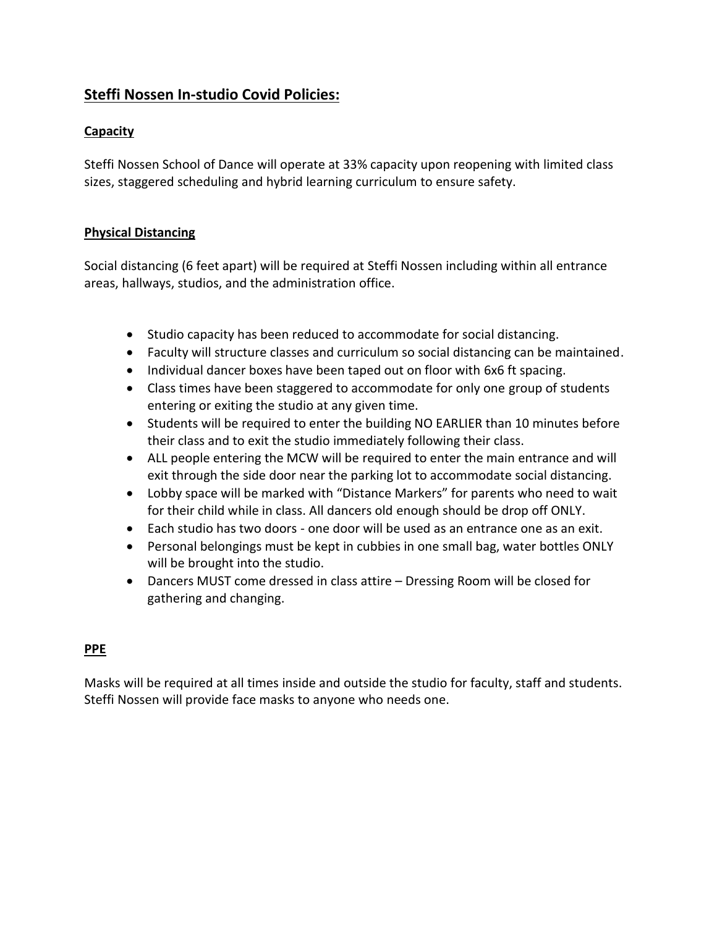# **Steffi Nossen In-studio Covid Policies:**

## **Capacity**

Steffi Nossen School of Dance will operate at 33% capacity upon reopening with limited class sizes, staggered scheduling and hybrid learning curriculum to ensure safety.

#### **Physical Distancing**

Social distancing (6 feet apart) will be required at Steffi Nossen including within all entrance areas, hallways, studios, and the administration office.

- Studio capacity has been reduced to accommodate for social distancing.
- Faculty will structure classes and curriculum so social distancing can be maintained.
- Individual dancer boxes have been taped out on floor with 6x6 ft spacing.
- Class times have been staggered to accommodate for only one group of students entering or exiting the studio at any given time.
- Students will be required to enter the building NO EARLIER than 10 minutes before their class and to exit the studio immediately following their class.
- ALL people entering the MCW will be required to enter the main entrance and will exit through the side door near the parking lot to accommodate social distancing.
- Lobby space will be marked with "Distance Markers" for parents who need to wait for their child while in class. All dancers old enough should be drop off ONLY.
- Each studio has two doors one door will be used as an entrance one as an exit.
- Personal belongings must be kept in cubbies in one small bag, water bottles ONLY will be brought into the studio.
- Dancers MUST come dressed in class attire Dressing Room will be closed for gathering and changing.

#### **PPE**

Masks will be required at all times inside and outside the studio for faculty, staff and students. Steffi Nossen will provide face masks to anyone who needs one.